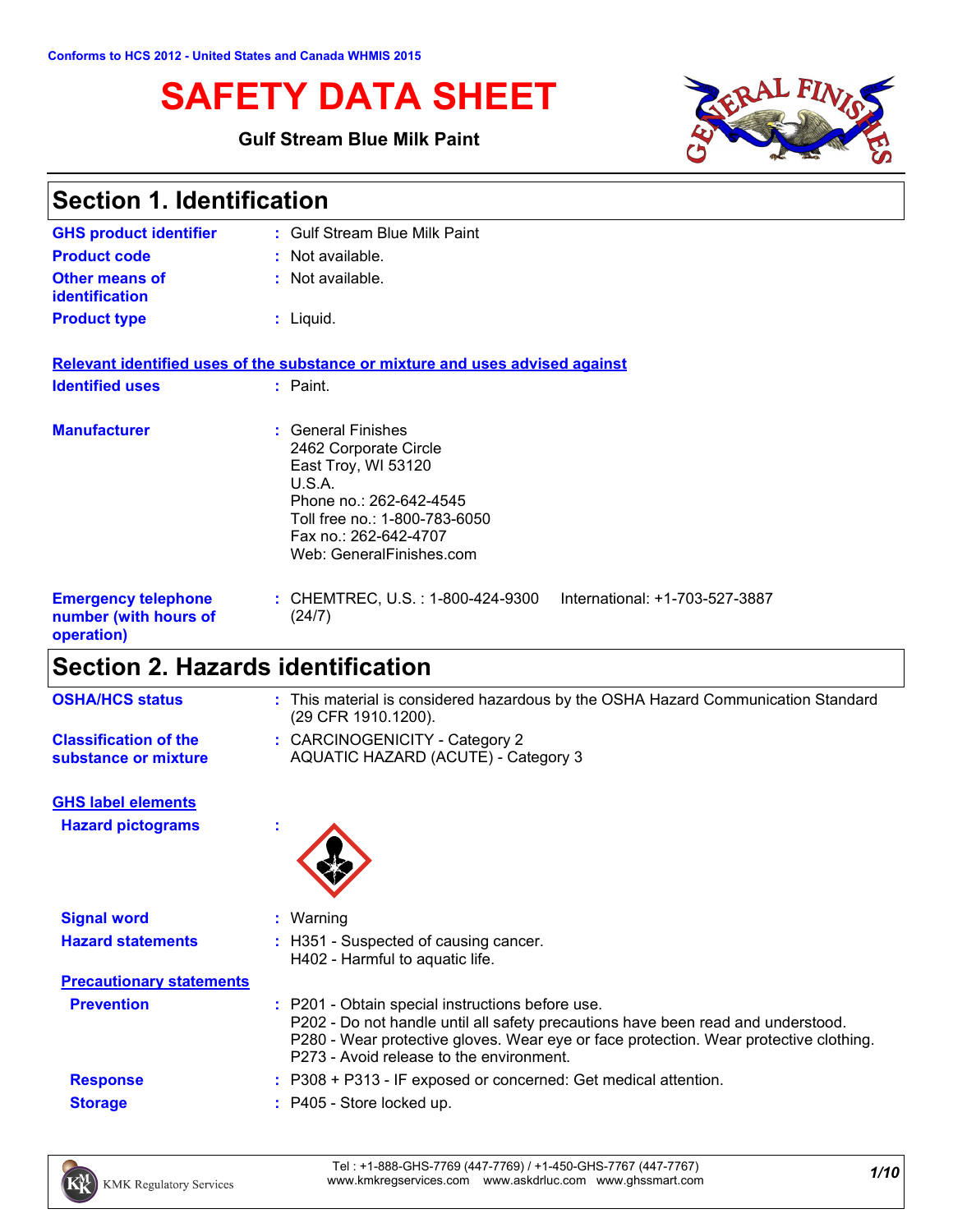# **SAFETY DATA SHEET**

#### **Gulf Stream Blue Milk Paint**



| <b>Section 1. Identification</b>                                  |                                                                                                                                                                                                    |
|-------------------------------------------------------------------|----------------------------------------------------------------------------------------------------------------------------------------------------------------------------------------------------|
| <b>GHS product identifier</b>                                     | : Gulf Stream Blue Milk Paint                                                                                                                                                                      |
| <b>Product code</b>                                               | $:$ Not available.                                                                                                                                                                                 |
| <b>Other means of</b><br><b>identification</b>                    | : Not available.                                                                                                                                                                                   |
| <b>Product type</b>                                               | $:$ Liquid.                                                                                                                                                                                        |
|                                                                   | Relevant identified uses of the substance or mixture and uses advised against                                                                                                                      |
| <b>Identified uses</b>                                            | $:$ Paint.                                                                                                                                                                                         |
| <b>Manufacturer</b>                                               | <b>General Finishes</b><br>2462 Corporate Circle<br>East Troy, WI 53120<br>U.S.A.<br>Phone no.: 262-642-4545<br>Toll free no.: 1-800-783-6050<br>Fax no.: 262-642-4707<br>Web: GeneralFinishes.com |
| <b>Emergency telephone</b><br>number (with hours of<br>operation) | : CHEMTREC, U.S. : 1-800-424-9300<br>International: +1-703-527-3887<br>(24/7)                                                                                                                      |
|                                                                   |                                                                                                                                                                                                    |

# **Section 2. Hazards identification**

| <b>OSHA/HCS status</b>                               | : This material is considered hazardous by the OSHA Hazard Communication Standard<br>(29 CFR 1910.1200). |
|------------------------------------------------------|----------------------------------------------------------------------------------------------------------|
| <b>Classification of the</b><br>substance or mixture | : CARCINOGENICITY - Category 2<br>AQUATIC HAZARD (ACUTE) - Category 3                                    |
| <b>GHS label elements</b>                            |                                                                                                          |

**Hazard pictograms :**



| <b>Signal word</b>              | Warning                                                                                                                                                                                                                                                                   |  |
|---------------------------------|---------------------------------------------------------------------------------------------------------------------------------------------------------------------------------------------------------------------------------------------------------------------------|--|
| <b>Hazard statements</b>        | : H351 - Suspected of causing cancer.<br>H402 - Harmful to aquatic life.                                                                                                                                                                                                  |  |
| <b>Precautionary statements</b> |                                                                                                                                                                                                                                                                           |  |
| <b>Prevention</b>               | : P201 - Obtain special instructions before use.<br>P202 - Do not handle until all safety precautions have been read and understood.<br>P280 - Wear protective gloves. Wear eye or face protection. Wear protective clothing.<br>P273 - Avoid release to the environment. |  |
| <b>Response</b>                 | $: P308 + P313$ - IF exposed or concerned: Get medical attention.                                                                                                                                                                                                         |  |
| <b>Storage</b>                  | $:$ P405 - Store locked up.                                                                                                                                                                                                                                               |  |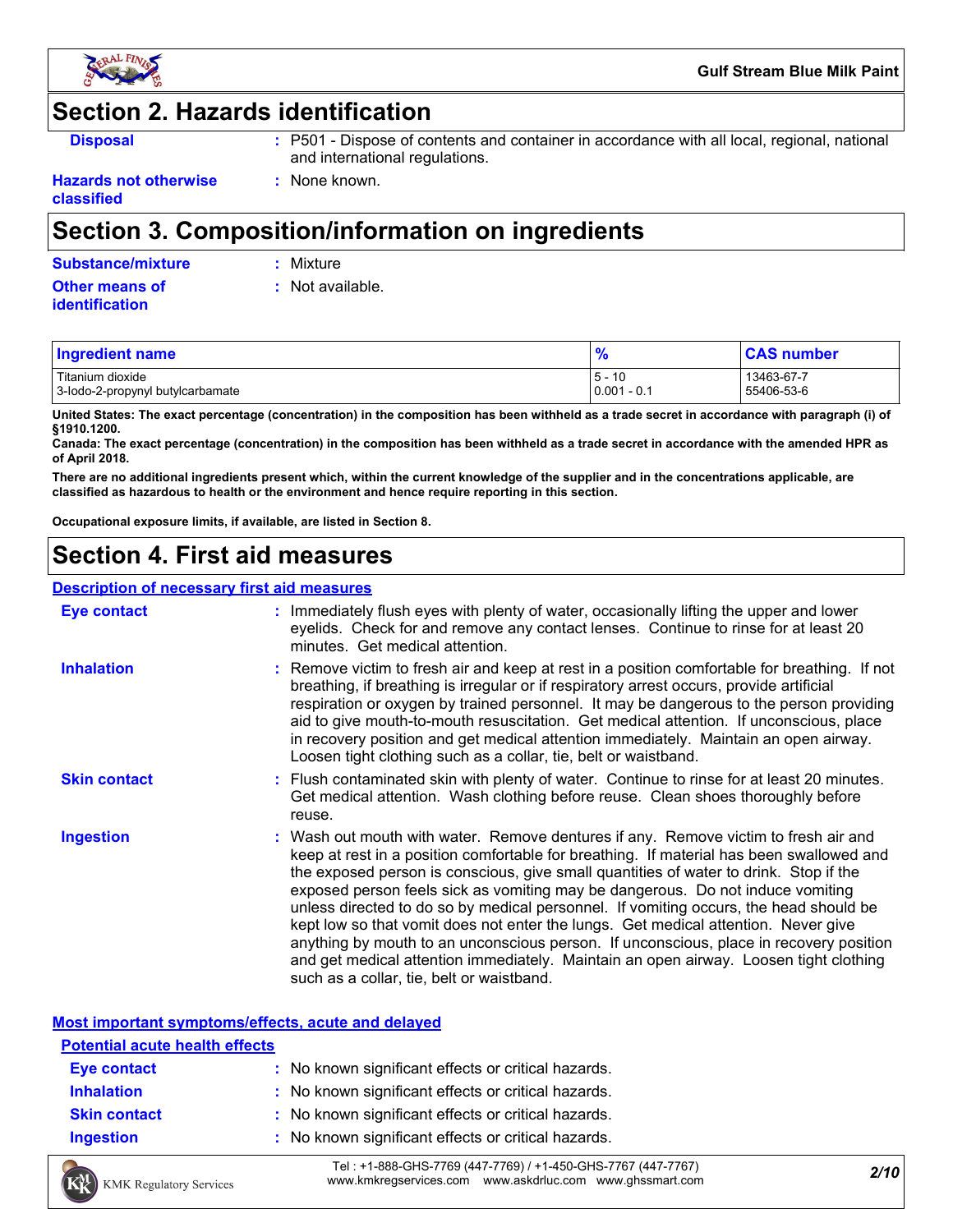

## **Section 2. Hazards identification**

- **Disposal 19501 :** P501 Dispose of contents and container in accordance with all local, regional, national and international regulations.
- **Hazards not otherwise classified**

# **Section 3. Composition/information on ingredients**

**:** None known.

|  |  |  |  | Substance/mixture |  |  |
|--|--|--|--|-------------------|--|--|
|  |  |  |  |                   |  |  |

**Substance/mixture :** Mixture

**Other means of identification**

**:** Not available.

| <b>Ingredient name</b>                               | $\prime$                                       | <b>CAS</b> number        |
|------------------------------------------------------|------------------------------------------------|--------------------------|
| Titanium dioxide<br>3-lodo-2-propynyl butylcarbamate | $\overline{10}$<br>5 -<br>ι υ<br>$0.001 - 0.1$ | 13463-67-7<br>55406-53-6 |

**United States: The exact percentage (concentration) in the composition has been withheld as a trade secret in accordance with paragraph (i) of §1910.1200.**

**Canada: The exact percentage (concentration) in the composition has been withheld as a trade secret in accordance with the amended HPR as of April 2018.**

**There are no additional ingredients present which, within the current knowledge of the supplier and in the concentrations applicable, are classified as hazardous to health or the environment and hence require reporting in this section.**

**Occupational exposure limits, if available, are listed in Section 8.**

# **Section 4. First aid measures**

#### **Description of necessary first aid measures**

| <b>Eye contact</b>  | : Immediately flush eyes with plenty of water, occasionally lifting the upper and lower<br>eyelids. Check for and remove any contact lenses. Continue to rinse for at least 20<br>minutes. Get medical attention.                                                                                                                                                                                                                                                                                                                                                                                                                                                                                                                                                         |
|---------------------|---------------------------------------------------------------------------------------------------------------------------------------------------------------------------------------------------------------------------------------------------------------------------------------------------------------------------------------------------------------------------------------------------------------------------------------------------------------------------------------------------------------------------------------------------------------------------------------------------------------------------------------------------------------------------------------------------------------------------------------------------------------------------|
| <b>Inhalation</b>   | : Remove victim to fresh air and keep at rest in a position comfortable for breathing. If not<br>breathing, if breathing is irregular or if respiratory arrest occurs, provide artificial<br>respiration or oxygen by trained personnel. It may be dangerous to the person providing<br>aid to give mouth-to-mouth resuscitation. Get medical attention. If unconscious, place<br>in recovery position and get medical attention immediately. Maintain an open airway.<br>Loosen tight clothing such as a collar, tie, belt or waistband.                                                                                                                                                                                                                                 |
| <b>Skin contact</b> | : Flush contaminated skin with plenty of water. Continue to rinse for at least 20 minutes.<br>Get medical attention. Wash clothing before reuse. Clean shoes thoroughly before<br>reuse.                                                                                                                                                                                                                                                                                                                                                                                                                                                                                                                                                                                  |
| <b>Ingestion</b>    | : Wash out mouth with water. Remove dentures if any. Remove victim to fresh air and<br>keep at rest in a position comfortable for breathing. If material has been swallowed and<br>the exposed person is conscious, give small quantities of water to drink. Stop if the<br>exposed person feels sick as vomiting may be dangerous. Do not induce vomiting<br>unless directed to do so by medical personnel. If vomiting occurs, the head should be<br>kept low so that vomit does not enter the lungs. Get medical attention. Never give<br>anything by mouth to an unconscious person. If unconscious, place in recovery position<br>and get medical attention immediately. Maintain an open airway. Loosen tight clothing<br>such as a collar, tie, belt or waistband. |

#### **Most important symptoms/effects, acute and delayed**

| <b>Potential acute health effects</b> |                                                     |
|---------------------------------------|-----------------------------------------------------|
| Eye contact                           | : No known significant effects or critical hazards. |
| <b>Inhalation</b>                     | : No known significant effects or critical hazards. |
| <b>Skin contact</b>                   | : No known significant effects or critical hazards. |
| <b>Ingestion</b>                      | : No known significant effects or critical hazards. |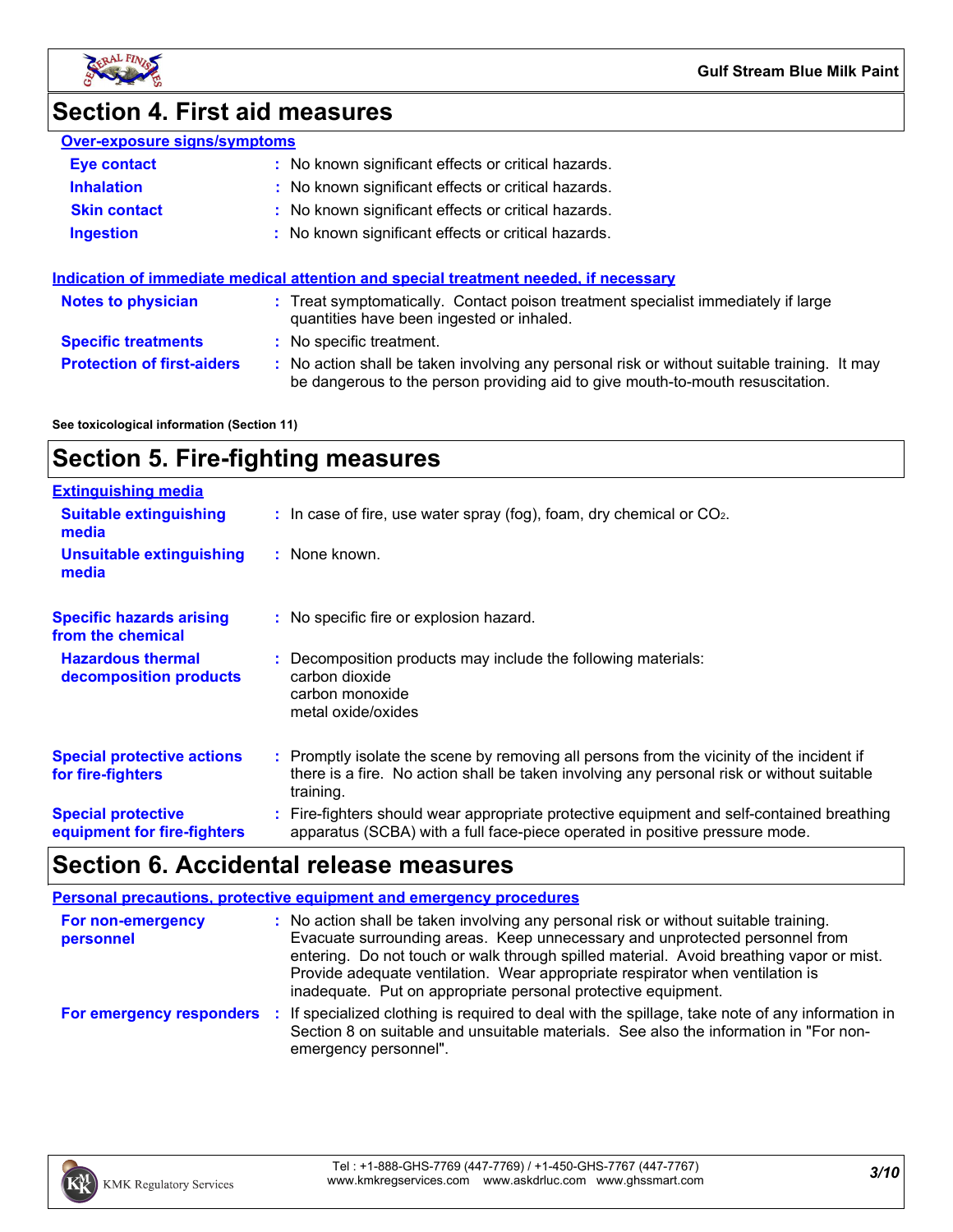

# **Section 4. First aid measures**

|--|

| <b>Eye contact</b>                | : No known significant effects or critical hazards.                                                                                                                           |
|-----------------------------------|-------------------------------------------------------------------------------------------------------------------------------------------------------------------------------|
| <b>Inhalation</b>                 | : No known significant effects or critical hazards.                                                                                                                           |
| <b>Skin contact</b>               | : No known significant effects or critical hazards.                                                                                                                           |
| Ingestion                         | : No known significant effects or critical hazards.                                                                                                                           |
|                                   | Indication of immediate medical attention and special treatment needed, if necessary                                                                                          |
| <b>Notes to physician</b>         | : Treat symptomatically. Contact poison treatment specialist immediately if large<br>quantities have been ingested or inhaled.                                                |
| <b>Specific treatments</b>        | : No specific treatment.                                                                                                                                                      |
| <b>Protection of first-aiders</b> | : No action shall be taken involving any personal risk or without suitable training. It may<br>be dangerous to the person providing aid to give mouth-to-mouth resuscitation. |

**See toxicological information (Section 11)**

# **Section 5. Fire-fighting measures**

| <b>Extinguishing media</b>                               |                                                                                                                                                                                                     |
|----------------------------------------------------------|-----------------------------------------------------------------------------------------------------------------------------------------------------------------------------------------------------|
| <b>Suitable extinguishing</b><br>media                   | $\therefore$ In case of fire, use water spray (fog), foam, dry chemical or CO <sub>2</sub> .                                                                                                        |
| <b>Unsuitable extinguishing</b><br>media                 | : None known.                                                                                                                                                                                       |
| <b>Specific hazards arising</b><br>from the chemical     | : No specific fire or explosion hazard.                                                                                                                                                             |
| <b>Hazardous thermal</b><br>decomposition products       | : Decomposition products may include the following materials:<br>carbon dioxide<br>carbon monoxide<br>metal oxide/oxides                                                                            |
| <b>Special protective actions</b><br>for fire-fighters   | : Promptly isolate the scene by removing all persons from the vicinity of the incident if<br>there is a fire. No action shall be taken involving any personal risk or without suitable<br>training. |
| <b>Special protective</b><br>equipment for fire-fighters | : Fire-fighters should wear appropriate protective equipment and self-contained breathing<br>apparatus (SCBA) with a full face-piece operated in positive pressure mode.                            |

# **Section 6. Accidental release measures**

|                                | <b>Personal precautions, protective equipment and emergency procedures</b>                                                                                                                                                                                                                                                                                                                                       |
|--------------------------------|------------------------------------------------------------------------------------------------------------------------------------------------------------------------------------------------------------------------------------------------------------------------------------------------------------------------------------------------------------------------------------------------------------------|
| For non-emergency<br>personnel | : No action shall be taken involving any personal risk or without suitable training.<br>Evacuate surrounding areas. Keep unnecessary and unprotected personnel from<br>entering. Do not touch or walk through spilled material. Avoid breathing vapor or mist.<br>Provide adequate ventilation. Wear appropriate respirator when ventilation is<br>inadequate. Put on appropriate personal protective equipment. |
| For emergency responders       | : If specialized clothing is required to deal with the spillage, take note of any information in<br>Section 8 on suitable and unsuitable materials. See also the information in "For non-<br>emergency personnel".                                                                                                                                                                                               |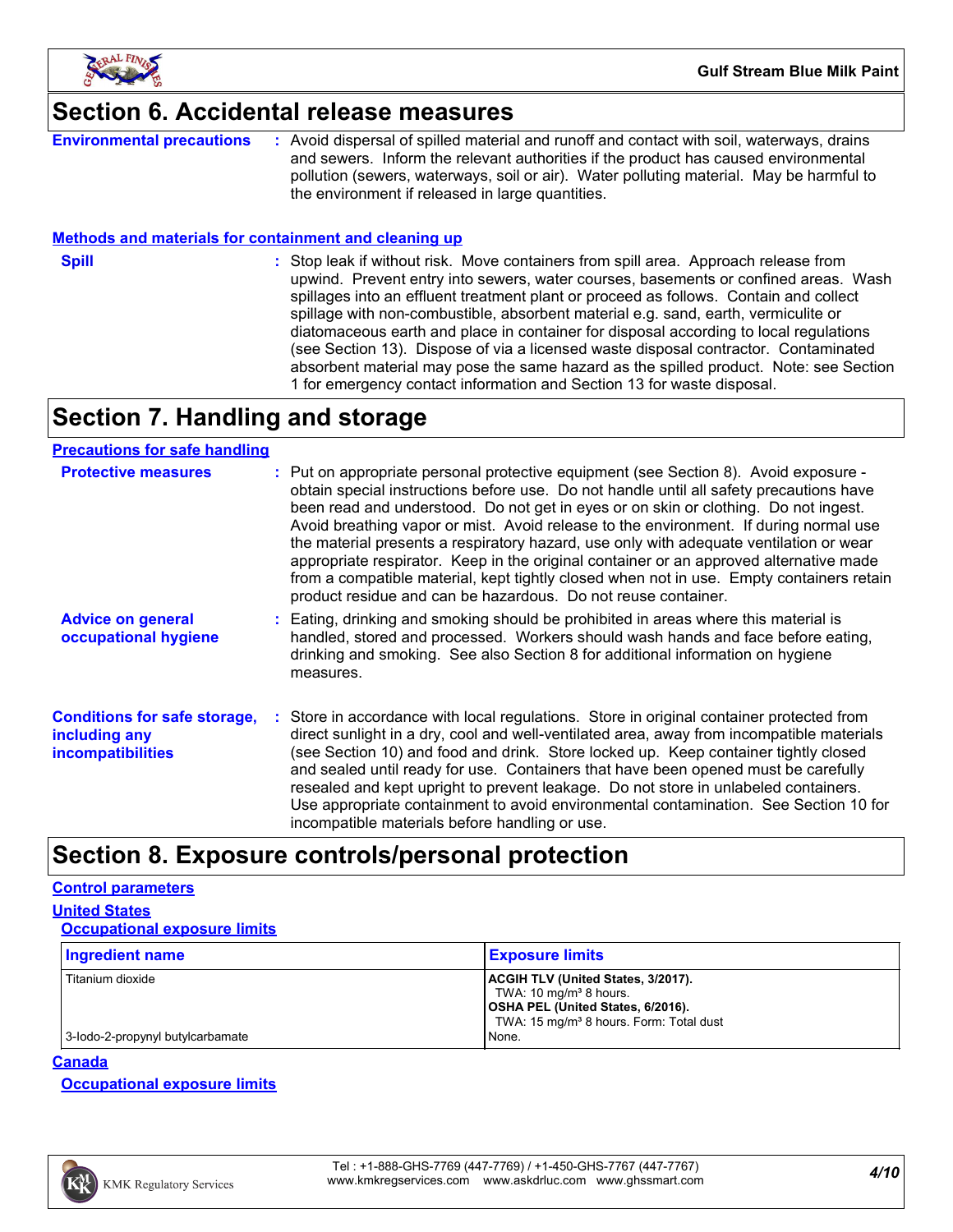

# **Section 6. Accidental release measures**

**Environmental precautions :** Avoid dispersal of spilled material and runoff and contact with soil, waterways, drains and sewers. Inform the relevant authorities if the product has caused environmental pollution (sewers, waterways, soil or air). Water polluting material. May be harmful to the environment if released in large quantities.

#### **Methods and materials for containment and cleaning up**

**Spill** Stop leak if without risk. Move containers from spill area. Approach release from spill upwind. Prevent entry into sewers, water courses, basements or confined areas. Wash spillages into an effluent treatment plant or proceed as follows. Contain and collect spillage with non-combustible, absorbent material e.g. sand, earth, vermiculite or diatomaceous earth and place in container for disposal according to local regulations (see Section 13). Dispose of via a licensed waste disposal contractor. Contaminated absorbent material may pose the same hazard as the spilled product. Note: see Section 1 for emergency contact information and Section 13 for waste disposal.

# **Section 7. Handling and storage**

#### **Precautions for safe handling**

| <b>Protective measures</b>                                                       | : Put on appropriate personal protective equipment (see Section 8). Avoid exposure -<br>obtain special instructions before use. Do not handle until all safety precautions have<br>been read and understood. Do not get in eyes or on skin or clothing. Do not ingest.<br>Avoid breathing vapor or mist. Avoid release to the environment. If during normal use<br>the material presents a respiratory hazard, use only with adequate ventilation or wear<br>appropriate respirator. Keep in the original container or an approved alternative made<br>from a compatible material, kept tightly closed when not in use. Empty containers retain<br>product residue and can be hazardous. Do not reuse container. |
|----------------------------------------------------------------------------------|------------------------------------------------------------------------------------------------------------------------------------------------------------------------------------------------------------------------------------------------------------------------------------------------------------------------------------------------------------------------------------------------------------------------------------------------------------------------------------------------------------------------------------------------------------------------------------------------------------------------------------------------------------------------------------------------------------------|
| <b>Advice on general</b><br>occupational hygiene                                 | Eating, drinking and smoking should be prohibited in areas where this material is<br>handled, stored and processed. Workers should wash hands and face before eating,<br>drinking and smoking. See also Section 8 for additional information on hygiene<br>measures.                                                                                                                                                                                                                                                                                                                                                                                                                                             |
| <b>Conditions for safe storage,</b><br>including any<br><b>incompatibilities</b> | Store in accordance with local regulations. Store in original container protected from<br>direct sunlight in a dry, cool and well-ventilated area, away from incompatible materials<br>(see Section 10) and food and drink. Store locked up. Keep container tightly closed<br>and sealed until ready for use. Containers that have been opened must be carefully<br>resealed and kept upright to prevent leakage. Do not store in unlabeled containers.<br>Use appropriate containment to avoid environmental contamination. See Section 10 for<br>incompatible materials before handling or use.                                                                                                                |

## **Section 8. Exposure controls/personal protection**

#### **Control parameters**

**United States**

| <b>Occupational exposure limits</b> |                                                                                                                                                                            |
|-------------------------------------|----------------------------------------------------------------------------------------------------------------------------------------------------------------------------|
| <b>Ingredient name</b>              | <b>Exposure limits</b>                                                                                                                                                     |
| Titanium dioxide                    | <b>ACGIH TLV (United States, 3/2017).</b><br>TWA: $10 \text{ mg/m}^3$ 8 hours.<br>OSHA PEL (United States, 6/2016).<br>TWA: 15 mg/m <sup>3</sup> 8 hours. Form: Total dust |
| 3-lodo-2-propynyl butylcarbamate    | None.                                                                                                                                                                      |

#### **Canada**

**Occupational exposure limits**

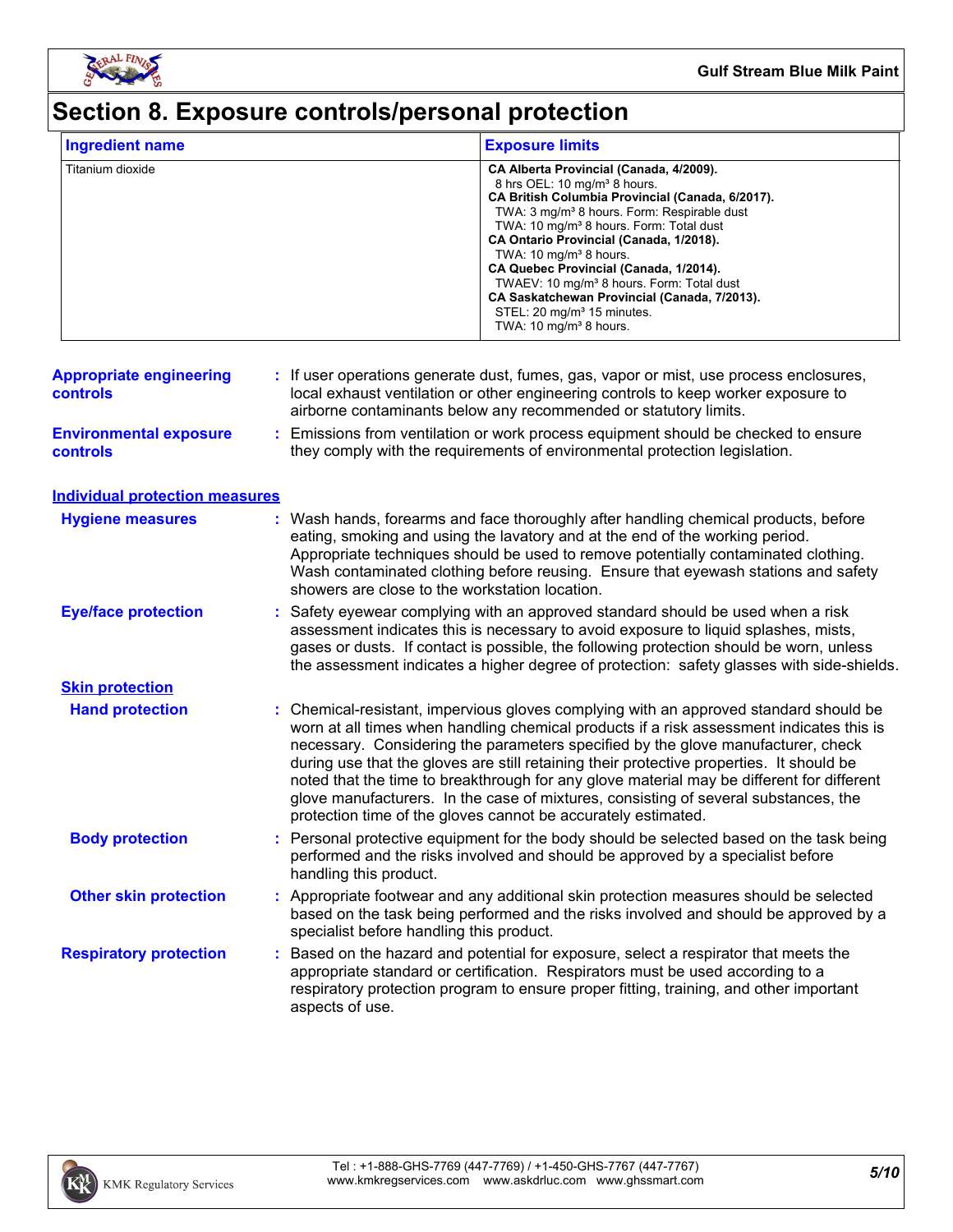

# **Section 8. Exposure controls/personal protection**

| <b>Ingredient name</b>                            |                                                               | <b>Exposure limits</b>                                                                                                                                                                                                                                                                                                                                                                                                                                                                                                                                                        |
|---------------------------------------------------|---------------------------------------------------------------|-------------------------------------------------------------------------------------------------------------------------------------------------------------------------------------------------------------------------------------------------------------------------------------------------------------------------------------------------------------------------------------------------------------------------------------------------------------------------------------------------------------------------------------------------------------------------------|
| Titanium dioxide                                  |                                                               | CA Alberta Provincial (Canada, 4/2009).<br>8 hrs OEL: 10 mg/m <sup>3</sup> 8 hours.<br>CA British Columbia Provincial (Canada, 6/2017).<br>TWA: 3 mg/m <sup>3</sup> 8 hours. Form: Respirable dust<br>TWA: 10 mg/m <sup>3</sup> 8 hours. Form: Total dust<br>CA Ontario Provincial (Canada, 1/2018).<br>TWA: 10 mg/m <sup>3</sup> 8 hours.<br>CA Quebec Provincial (Canada, 1/2014).<br>TWAEV: 10 mg/m <sup>3</sup> 8 hours. Form: Total dust<br>CA Saskatchewan Provincial (Canada, 7/2013).<br>STEL: 20 mg/m <sup>3</sup> 15 minutes.<br>TWA: 10 mg/m <sup>3</sup> 8 hours. |
| <b>Appropriate engineering</b><br><b>controls</b> |                                                               | : If user operations generate dust, fumes, gas, vapor or mist, use process enclosures,<br>local exhaust ventilation or other engineering controls to keep worker exposure to<br>airborne contaminants below any recommended or statutory limits.                                                                                                                                                                                                                                                                                                                              |
| <b>Environmental exposure</b><br><b>controls</b>  | ÷.                                                            | Emissions from ventilation or work process equipment should be checked to ensure<br>they comply with the requirements of environmental protection legislation.                                                                                                                                                                                                                                                                                                                                                                                                                |
| <b>Individual protection measures</b>             |                                                               |                                                                                                                                                                                                                                                                                                                                                                                                                                                                                                                                                                               |
| <b>Hygiene measures</b>                           | showers are close to the workstation location.                | : Wash hands, forearms and face thoroughly after handling chemical products, before<br>eating, smoking and using the lavatory and at the end of the working period.<br>Appropriate techniques should be used to remove potentially contaminated clothing.<br>Wash contaminated clothing before reusing. Ensure that eyewash stations and safety                                                                                                                                                                                                                               |
| <b>Eye/face protection</b>                        |                                                               | Safety eyewear complying with an approved standard should be used when a risk<br>assessment indicates this is necessary to avoid exposure to liquid splashes, mists,<br>gases or dusts. If contact is possible, the following protection should be worn, unless<br>the assessment indicates a higher degree of protection: safety glasses with side-shields.                                                                                                                                                                                                                  |
| <b>Skin protection</b>                            |                                                               |                                                                                                                                                                                                                                                                                                                                                                                                                                                                                                                                                                               |
| <b>Hand protection</b>                            | protection time of the gloves cannot be accurately estimated. | : Chemical-resistant, impervious gloves complying with an approved standard should be<br>worn at all times when handling chemical products if a risk assessment indicates this is<br>necessary. Considering the parameters specified by the glove manufacturer, check<br>during use that the gloves are still retaining their protective properties. It should be<br>noted that the time to breakthrough for any glove material may be different for different<br>glove manufacturers. In the case of mixtures, consisting of several substances, the                         |
| <b>Body protection</b>                            | handling this product.                                        | : Personal protective equipment for the body should be selected based on the task being<br>performed and the risks involved and should be approved by a specialist before                                                                                                                                                                                                                                                                                                                                                                                                     |
| <b>Other skin protection</b>                      | specialist before handling this product.                      | : Appropriate footwear and any additional skin protection measures should be selected<br>based on the task being performed and the risks involved and should be approved by a                                                                                                                                                                                                                                                                                                                                                                                                 |
| <b>Respiratory protection</b>                     | aspects of use.                                               | Based on the hazard and potential for exposure, select a respirator that meets the<br>appropriate standard or certification. Respirators must be used according to a<br>respiratory protection program to ensure proper fitting, training, and other important                                                                                                                                                                                                                                                                                                                |

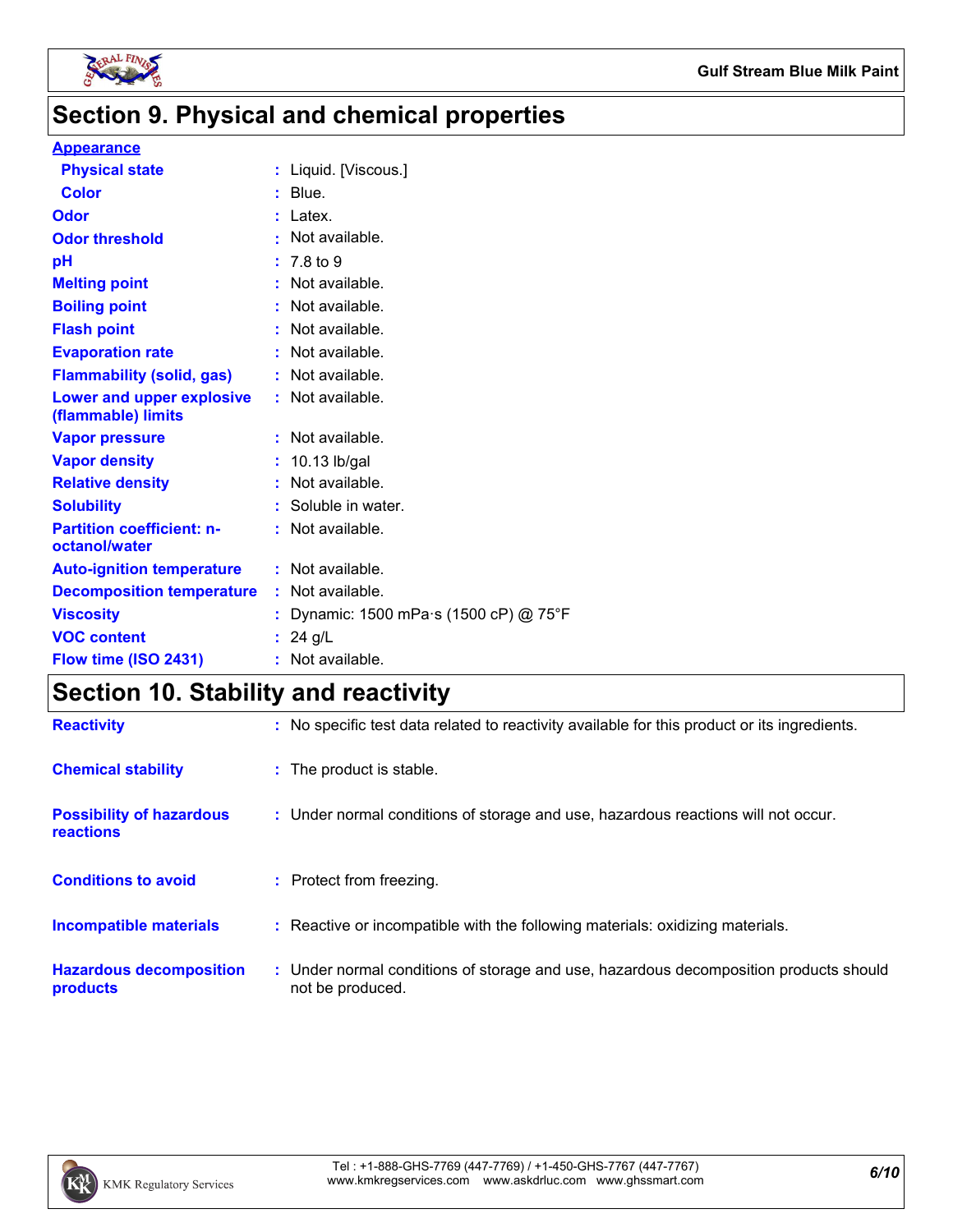

# **Section 9. Physical and chemical properties**

#### **Appearance**

| <b>Physical state</b>                             | : Liquid. [Viscous.]                 |
|---------------------------------------------------|--------------------------------------|
| <b>Color</b>                                      | $:$ Blue.                            |
| Odor                                              | $:$ Latex.                           |
| <b>Odor threshold</b>                             | : Not available.                     |
| рH                                                | $: 7.8 \text{ to } 9$                |
| <b>Melting point</b>                              | : Not available.                     |
| <b>Boiling point</b>                              | : Not available.                     |
| <b>Flash point</b>                                | : Not available.                     |
| <b>Evaporation rate</b>                           | : Not available.                     |
| <b>Flammability (solid, gas)</b>                  | : Not available.                     |
| Lower and upper explosive<br>(flammable) limits   | : Not available.                     |
| <b>Vapor pressure</b>                             | : Not available.                     |
| <b>Vapor density</b>                              | $: 10.13$ lb/gal                     |
| <b>Relative density</b>                           | : Not available.                     |
| <b>Solubility</b>                                 | : Soluble in water.                  |
| <b>Partition coefficient: n-</b><br>octanol/water | : Not available.                     |
| <b>Auto-ignition temperature</b>                  | : Not available.                     |
| <b>Decomposition temperature</b>                  | : Not available.                     |
| <b>Viscosity</b>                                  | Dynamic: 1500 mPa s (1500 cP) @ 75°F |
| <b>VOC content</b>                                | : 24 g/L                             |
| Flow time (ISO 2431)                              | : Not available.                     |
|                                                   |                                      |

# **Section 10. Stability and reactivity**

| <b>Reactivity</b>                                   | : No specific test data related to reactivity available for this product or its ingredients.              |
|-----------------------------------------------------|-----------------------------------------------------------------------------------------------------------|
| <b>Chemical stability</b>                           | : The product is stable.                                                                                  |
| <b>Possibility of hazardous</b><br><b>reactions</b> | : Under normal conditions of storage and use, hazardous reactions will not occur.                         |
| <b>Conditions to avoid</b>                          | : Protect from freezing.                                                                                  |
| <b>Incompatible materials</b>                       | : Reactive or incompatible with the following materials: oxidizing materials.                             |
| <b>Hazardous decomposition</b><br>products          | : Under normal conditions of storage and use, hazardous decomposition products should<br>not be produced. |

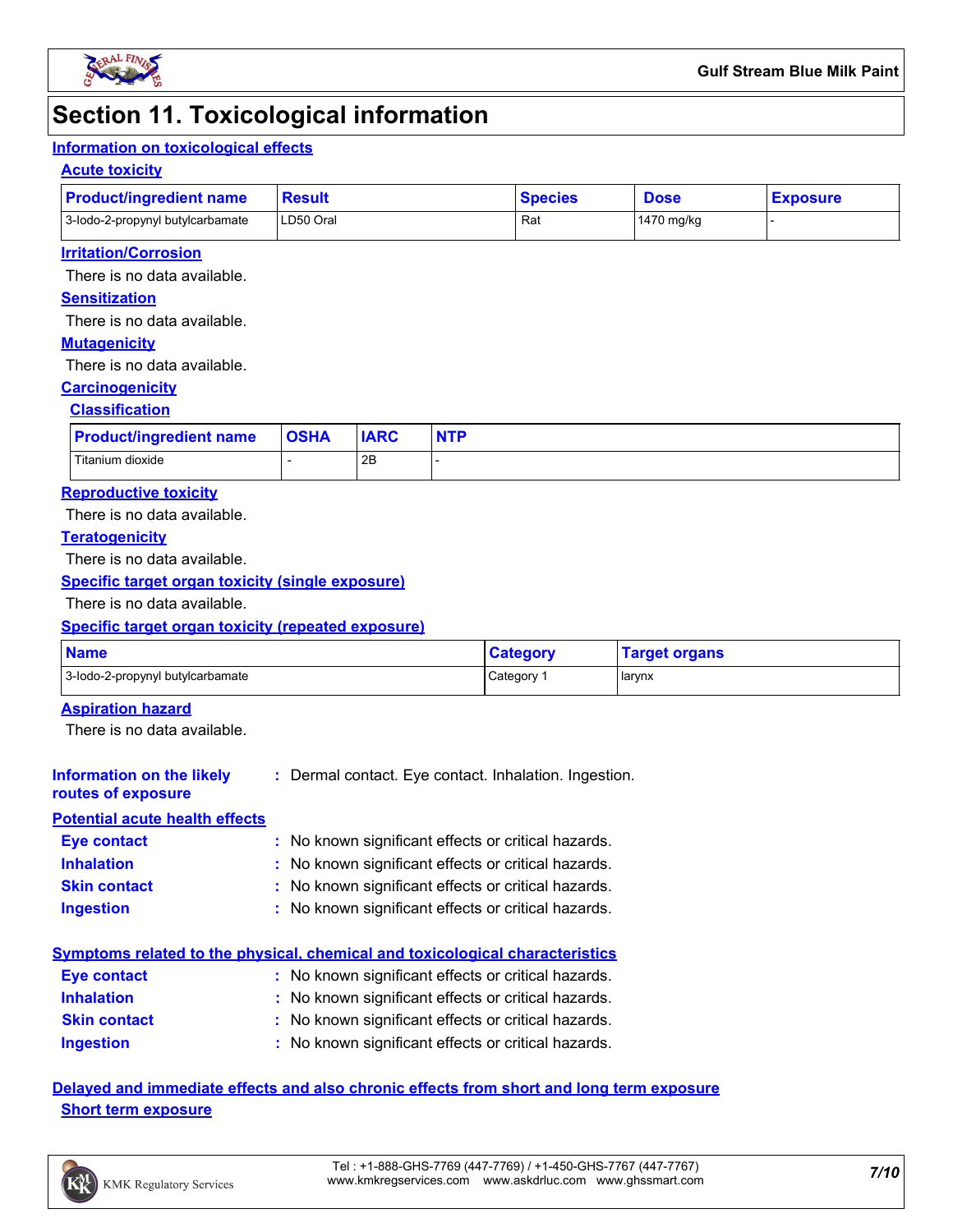

# **Section 11. Toxicological information**

#### **Information on toxicological effects**

#### **Acute toxicity**

| <b>Product/ingredient name</b>   | <b>Result</b> | <b>Species</b> | <b>Dose</b>  | <b>Exposure</b> |
|----------------------------------|---------------|----------------|--------------|-----------------|
| 3-lodo-2-propynyl butylcarbamate | LD50 Oral     | Ra.            | l 1470 ma/ka |                 |

#### **Irritation/Corrosion**

There is no data available.

#### **Sensitization**

There is no data available.

#### **Mutagenicity**

There is no data available.

#### **Carcinogenicity**

#### **Classification**

| <b>Product/ingredient name</b> | <b>OSHA</b> | <b>IARC</b> | <b>NTP</b> |
|--------------------------------|-------------|-------------|------------|
| Titanium dioxide               |             | 2B          |            |

#### **Reproductive toxicity**

There is no data available.

#### **Teratogenicity**

There is no data available.

#### **Specific target organ toxicity (single exposure)**

There is no data available.

#### **Specific target organ toxicity (repeated exposure)**

| <b>Name</b>                      | <b>Category</b> | <b>Target organs</b> |
|----------------------------------|-----------------|----------------------|
| 3-lodo-2-propynyl butylcarbamate | Category        | larynx               |

#### **Aspiration hazard**

**routes of exposure**

There is no data available.

#### **Information on the likely :** Dermal contact. Eye contact. Inhalation. Ingestion.

### **Potential acute health effects**

| <b>Eye contact</b>  | : No known significant effects or critical hazards. |
|---------------------|-----------------------------------------------------|
| <b>Inhalation</b>   | : No known significant effects or critical hazards. |
| <b>Skin contact</b> | : No known significant effects or critical hazards. |
| <b>Ingestion</b>    | : No known significant effects or critical hazards. |

#### **Symptoms related to the physical, chemical and toxicological characteristics**

| <b>Eye contact</b>  | : No known significant effects or critical hazards. |
|---------------------|-----------------------------------------------------|
| <b>Inhalation</b>   | : No known significant effects or critical hazards. |
| <b>Skin contact</b> | : No known significant effects or critical hazards. |
| Ingestion           | : No known significant effects or critical hazards. |

**Delayed and immediate effects and also chronic effects from short and long term exposure Short term exposure**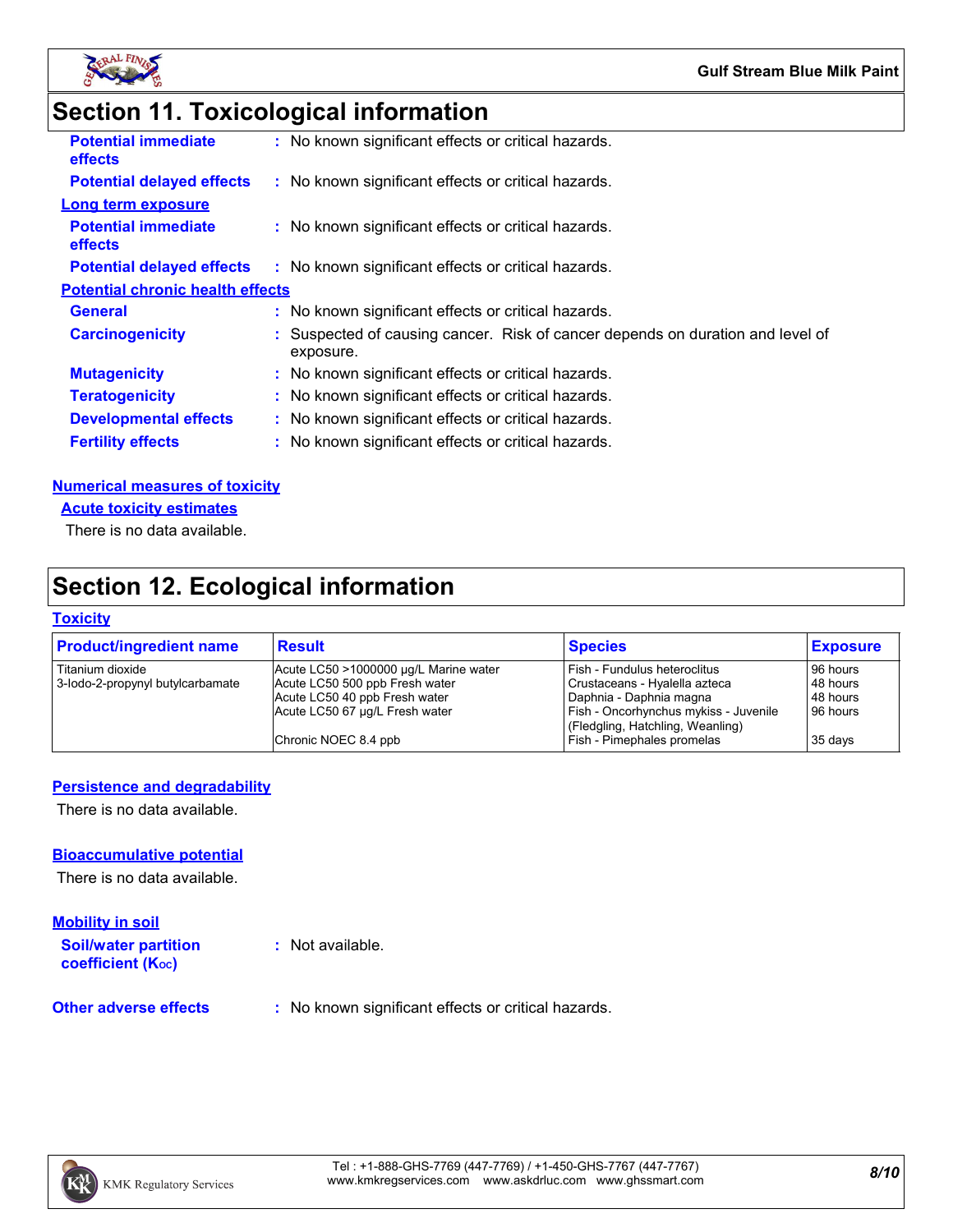

# **Section 11. Toxicological information**

| <b>Potential immediate</b><br><b>effects</b> | : No known significant effects or critical hazards.                                         |
|----------------------------------------------|---------------------------------------------------------------------------------------------|
| <b>Potential delayed effects</b>             | : No known significant effects or critical hazards.                                         |
| Long term exposure                           |                                                                                             |
| <b>Potential immediate</b><br>effects        | : No known significant effects or critical hazards.                                         |
| <b>Potential delayed effects</b>             | : No known significant effects or critical hazards.                                         |
| <b>Potential chronic health effects</b>      |                                                                                             |
| <b>General</b>                               | : No known significant effects or critical hazards.                                         |
| <b>Carcinogenicity</b>                       | : Suspected of causing cancer. Risk of cancer depends on duration and level of<br>exposure. |
| <b>Mutagenicity</b>                          | : No known significant effects or critical hazards.                                         |
| <b>Teratogenicity</b>                        | : No known significant effects or critical hazards.                                         |
| <b>Developmental effects</b>                 | : No known significant effects or critical hazards.                                         |
| <b>Fertility effects</b>                     | : No known significant effects or critical hazards.                                         |
|                                              |                                                                                             |

#### **Numerical measures of toxicity**

**Acute toxicity estimates**

There is no data available.

# **Section 12. Ecological information**

#### **Toxicity**

| <b>Product/ingredient name</b>   | <b>Result</b>                         | <b>Species</b>                                                            | <b>Exposure</b> |
|----------------------------------|---------------------------------------|---------------------------------------------------------------------------|-----------------|
| Titanium dioxide                 | Acute LC50 >1000000 µg/L Marine water | Fish - Fundulus heteroclitus                                              | 96 hours        |
| 3-lodo-2-propynyl butylcarbamate | Acute LC50 500 ppb Fresh water        | Crustaceans - Hyalella azteca                                             | 48 hours        |
|                                  | Acute LC50 40 ppb Fresh water         | Daphnia - Daphnia magna                                                   | 48 hours        |
|                                  | Acute LC50 67 µg/L Fresh water        | Fish - Oncorhynchus mykiss - Juvenile<br>(Fledgling, Hatchling, Weanling) | 96 hours        |
|                                  | Chronic NOEC 8.4 ppb                  | Fish - Pimephales promelas                                                | 35 days         |

#### **Persistence and degradability**

There is no data available.

#### **Bioaccumulative potential**

There is no data available.

#### **Mobility in soil**

**Soil/water partition coefficient (KOC)**

**:** Not available.

**Other adverse effects** : No known significant effects or critical hazards.

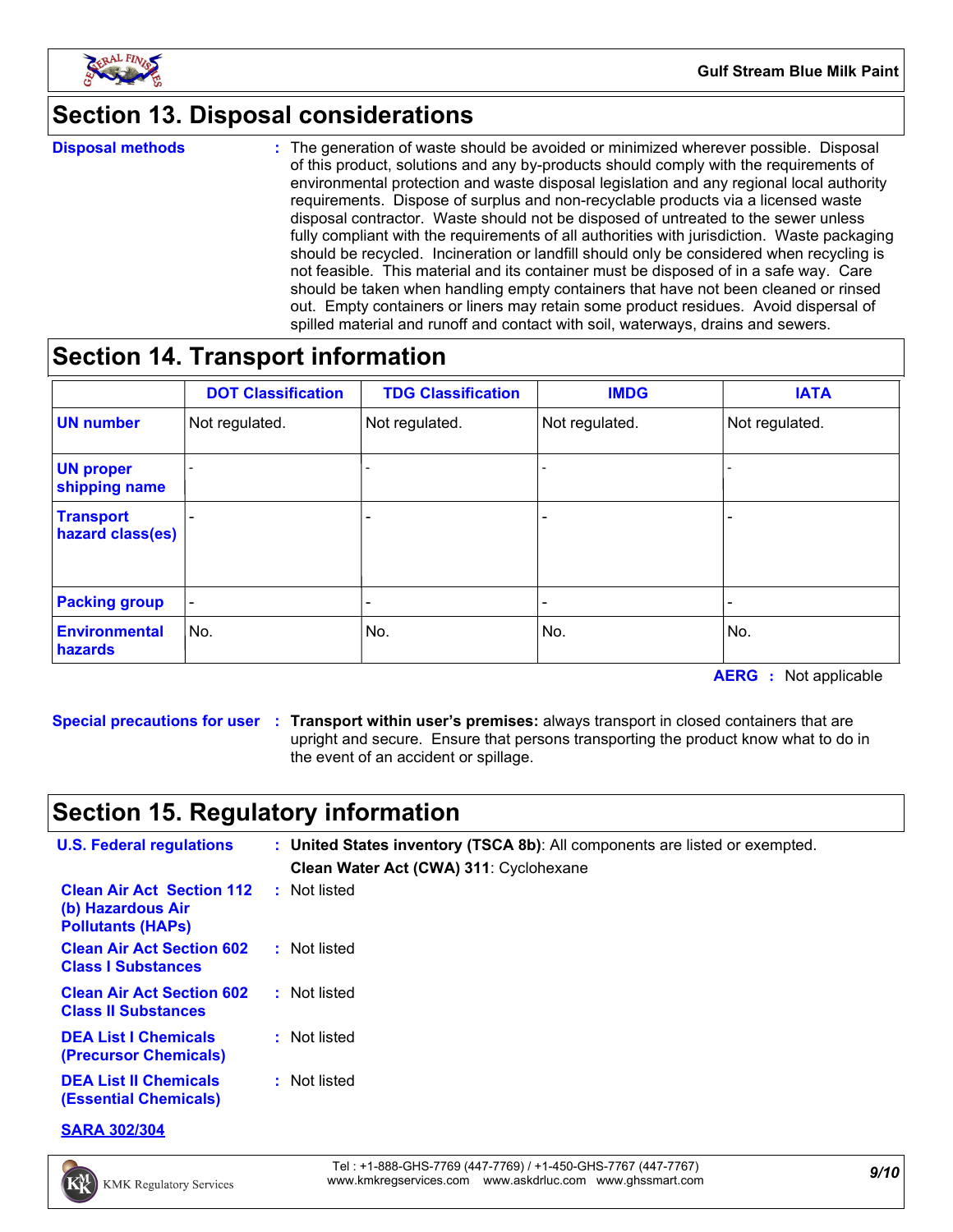

# **Section 13. Disposal considerations**

**Disposal methods :**

The generation of waste should be avoided or minimized wherever possible. Disposal of this product, solutions and any by-products should comply with the requirements of environmental protection and waste disposal legislation and any regional local authority requirements. Dispose of surplus and non-recyclable products via a licensed waste disposal contractor. Waste should not be disposed of untreated to the sewer unless fully compliant with the requirements of all authorities with jurisdiction. Waste packaging should be recycled. Incineration or landfill should only be considered when recycling is not feasible. This material and its container must be disposed of in a safe way. Care should be taken when handling empty containers that have not been cleaned or rinsed out. Empty containers or liners may retain some product residues. Avoid dispersal of spilled material and runoff and contact with soil, waterways, drains and sewers.

# **Section 14. Transport information**

|                                      | <b>DOT Classification</b> | <b>TDG Classification</b> | <b>IMDG</b>    | <b>IATA</b>              |
|--------------------------------------|---------------------------|---------------------------|----------------|--------------------------|
| <b>UN number</b>                     | Not regulated.            | Not regulated.            | Not regulated. | Not regulated.           |
| <b>UN proper</b><br>shipping name    |                           |                           |                |                          |
| <b>Transport</b><br>hazard class(es) |                           | $\overline{\phantom{0}}$  |                |                          |
| <b>Packing group</b>                 | $\overline{\phantom{a}}$  | $\overline{\phantom{0}}$  |                | $\overline{\phantom{0}}$ |
| <b>Environmental</b><br>hazards      | No.                       | No.                       | No.            | No.                      |

**AERG :** Not applicable

**Special precautions for user Transport within user's premises:** always transport in closed containers that are **:** upright and secure. Ensure that persons transporting the product know what to do in the event of an accident or spillage.

# **Section 15. Regulatory information**

| <b>U.S. Federal regulations</b>                                                   | : United States inventory (TSCA 8b): All components are listed or exempted.<br>Clean Water Act (CWA) 311: Cyclohexane |
|-----------------------------------------------------------------------------------|-----------------------------------------------------------------------------------------------------------------------|
| <b>Clean Air Act Section 112</b><br>(b) Hazardous Air<br><b>Pollutants (HAPS)</b> | : Not listed                                                                                                          |
| <b>Clean Air Act Section 602</b><br><b>Class I Substances</b>                     | : Not listed                                                                                                          |
| <b>Clean Air Act Section 602</b><br><b>Class II Substances</b>                    | : Not listed                                                                                                          |
| <b>DEA List I Chemicals</b><br>(Precursor Chemicals)                              | : Not listed                                                                                                          |
| <b>DEA List II Chemicals</b><br><b>(Essential Chemicals)</b>                      | : Not listed                                                                                                          |

**SARA 302/304**